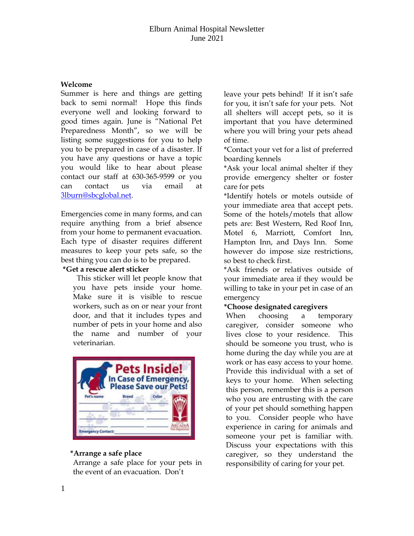### **Welcome**

Summer is here and things are getting back to semi normal! Hope this finds everyone well and looking forward to good times again. June is "National Pet Preparedness Month", so we will be listing some suggestions for you to help you to be prepared in case of a disaster. If you have any questions or have a topic you would like to hear about please contact our staff at 630-365-9599 or you can contact us via email at [3lburn@sbcglobal.net.](mailto:3lburn@sbcglobal.net)

Emergencies come in many forms, and can require anything from a brief absence from your home to permanent evacuation. Each type of disaster requires different measures to keep your pets safe, so the best thing you can do is to be prepared.

#### **\*Get a rescue alert sticker**

 This sticker will let people know that you have pets inside your home. Make sure it is visible to rescue workers, such as on or near your front door, and that it includes types and number of pets in your home and also the name and number of your veterinarian.



## **\*Arrange a safe place**

Arrange a safe place for your pets in the event of an evacuation. Don't

leave your pets behind! If it isn't safe for you, it isn't safe for your pets. Not all shelters will accept pets, so it is important that you have determined where you will bring your pets ahead of time.

\*Contact your vet for a list of preferred boarding kennels

\*Ask your local animal shelter if they provide emergency shelter or foster care for pets

\*Identify hotels or motels outside of your immediate area that accept pets. Some of the hotels/motels that allow pets are: Best Western, Red Roof Inn, Motel 6, Marriott, Comfort Inn, Hampton Inn, and Days Inn. Some however do impose size restrictions, so best to check first.

\*Ask friends or relatives outside of your immediate area if they would be willing to take in your pet in case of an emergency

## **\*Choose designated caregivers**

When choosing a temporary caregiver, consider someone who lives close to your residence. This should be someone you trust, who is home during the day while you are at work or has easy access to your home. Provide this individual with a set of keys to your home. When selecting this person, remember this is a person who you are entrusting with the care of your pet should something happen to you. Consider people who have experience in caring for animals and someone your pet is familiar with. Discuss your expectations with this caregiver, so they understand the responsibility of caring for your pet.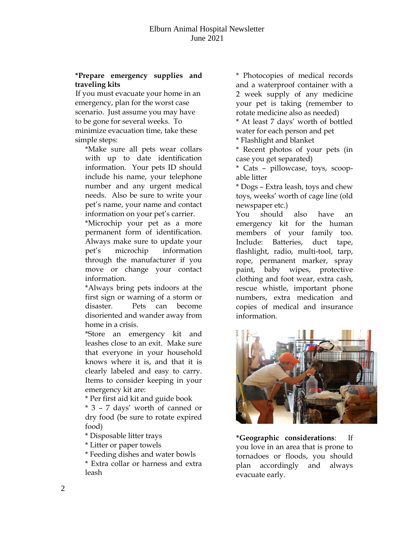### **\*Prepare emergency supplies and traveling kits**

If you must evacuate your home in an emergency, plan for the worst case scenario. Just assume you may have to be gone for several weeks. To minimize evacuation time, take these simple steps:

\*Make sure all pets wear collars with up to date identification information. Your pets ID should include his name, your telephone number and any urgent medical needs. Also be sure to write your pet's name, your name and contact information on your pet's carrier.

\*Microchip your pet as a more permanent form of identification. Always make sure to update your pet's microchip information through the manufacturer if you move or change your contact information.

\*Always bring pets indoors at the first sign or warning of a storm or disaster. Pets can become disoriented and wander away from home in a crisis.

\*Store an emergency kit and leashes close to an exit. Make sure that everyone in your household knows where it is, and that it is clearly labeled and easy to carry. Items to consider keeping in your emergency kit are:

\* Per first aid kit and guide book

\* 3 – 7 days' worth of canned or dry food (be sure to rotate expired food)

\* Disposable litter trays

\* Litter or paper towels

\* Feeding dishes and water bowls

\* Extra collar or harness and extra leash

\* Photocopies of medical records and a waterproof container with a 2 week supply of any medicine your pet is taking (remember to rotate medicine also as needed)

\* At least 7 days' worth of bottled water for each person and pet

\* Flashlight and blanket

\* Recent photos of your pets (in case you get separated)

\* Cats – pillowcase, toys, scoopable litter

\* Dogs – Extra leash, toys and chew toys, weeks' worth of cage line (old newspaper etc.)

You should also have an emergency kit for the human members of your family too. Include: Batteries, duct tape, flashlight, radio, multi-tool, tarp, rope, permanent marker, spray paint, baby wipes, protective clothing and foot wear, extra cash, rescue whistle, important phone numbers, extra medication and copies of medical and insurance information.



**\*Geographic considerations**: If you love in an area that is prone to tornadoes or floods, you should plan accordingly and always evacuate early.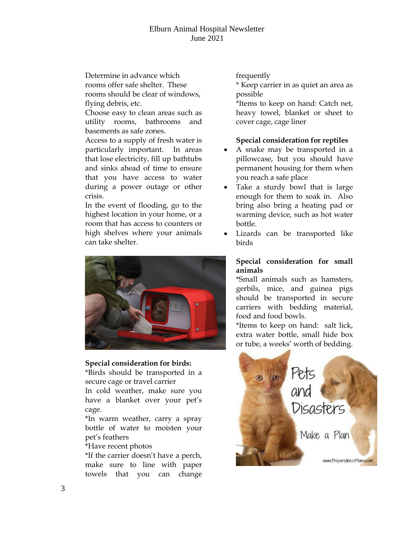Determine in advance which rooms offer safe shelter. These rooms should be clear of windows, flying debris, etc.

Choose easy to clean areas such as utility rooms, bathrooms and basements as safe zones.

Access to a supply of fresh water is particularly important. In areas that lose electricity, fill up bathtubs and sinks ahead of time to ensure that you have access to water during a power outage or other crisis.

In the event of flooding, go to the highest location in your home, or a room that has access to counters or high shelves where your animals can take shelter.



#### **Special consideration for birds:**

\*Birds should be transported in a secure cage or travel carrier In cold weather, make sure you

have a blanket over your pet's cage.

\*In warm weather, carry a spray bottle of water to moisten your pet's feathers

### \*Have recent photos

\*If the carrier doesn't have a perch, make sure to line with paper towels that you can change frequently

\* Keep carrier in as quiet an area as possible

\*Items to keep on hand: Catch net, heavy towel, blanket or sheet to cover cage, cage liner

### **Special consideration for reptiles**

- A snake may be transported in a pillowcase, but you should have permanent housing for them when you reach a safe place
- Take a sturdy bowl that is large enough for them to soak in. Also bring also bring a heating pad or warming device, such as hot water bottle.
- Lizards can be transported like birds

### **Special consideration for small animals**

\*Small animals such as hamsters, gerbils, mice, and guinea pigs should be transported in secure carriers with bedding material, food and food bowls.

\*Items to keep on hand: salt lick, extra water bottle, small hide box or tube, a weeks' worth of bedding.